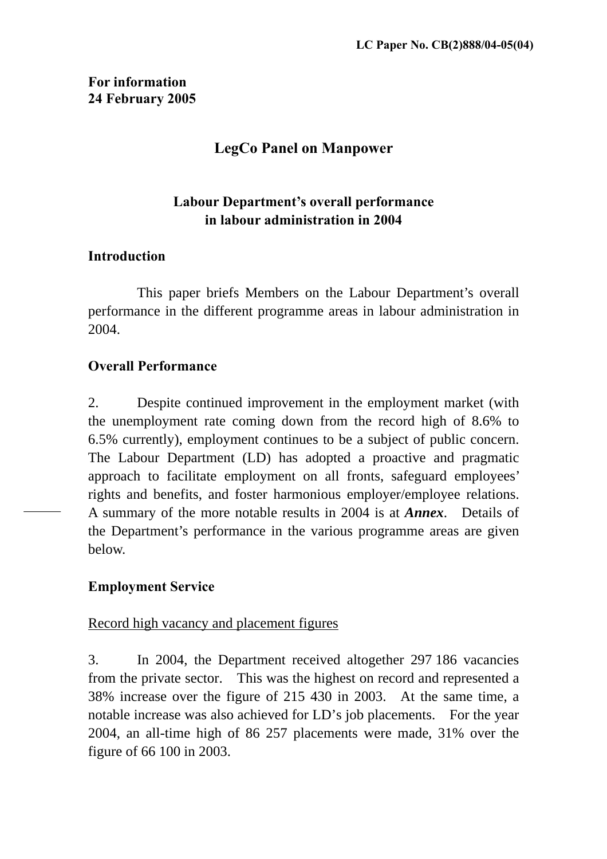# **For information 24 February 2005**

# **LegCo Panel on Manpower**

# **Labour Department's overall performance in labour administration in 2004**

#### **Introduction**

This paper briefs Members on the Labour Department's overall performance in the different programme areas in labour administration in 2004.

# **Overall Performance**

2. Despite continued improvement in the employment market (with the unemployment rate coming down from the record high of 8.6% to 6.5% currently), employment continues to be a subject of public concern. The Labour Department (LD) has adopted a proactive and pragmatic approach to facilitate employment on all fronts, safeguard employees' rights and benefits, and foster harmonious employer/employee relations. A summary of the more notable results in 2004 is at *Annex*. Details of the Department's performance in the various programme areas are given below.

# **Employment Service**

#### Record high vacancy and placement figures

3. In 2004, the Department received altogether 297 186 vacancies from the private sector. This was the highest on record and represented a 38% increase over the figure of 215 430 in 2003. At the same time, a notable increase was also achieved for LD's job placements. For the year 2004, an all-time high of 86 257 placements were made, 31% over the figure of 66 100 in 2003.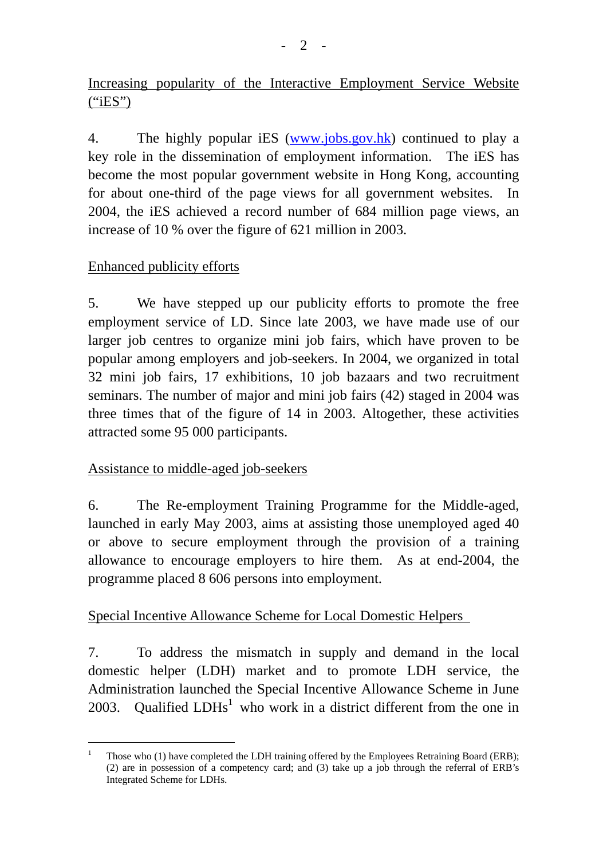Increasing popularity of the Interactive Employment Service Website  $("iES")$ 

4. The highly popular iES [\(www.jobs.gov.hk](http://www.jobs.gov.hk/)) continued to play a key role in the dissemination of employment information. The iES has become the most popular government website in Hong Kong, accounting for about one-third of the page views for all government websites. In 2004, the iES achieved a record number of 684 million page views, an increase of 10 % over the figure of 621 million in 2003.

# Enhanced publicity efforts

5. We have stepped up our publicity efforts to promote the free employment service of LD. Since late 2003, we have made use of our larger job centres to organize mini job fairs, which have proven to be popular among employers and job-seekers. In 2004, we organized in total 32 mini job fairs, 17 exhibitions, 10 job bazaars and two recruitment seminars. The number of major and mini job fairs (42) staged in 2004 was three times that of the figure of 14 in 2003. Altogether, these activities attracted some 95 000 participants.

# Assistance to middle-aged job-seekers

 $\overline{a}$ 

6. The Re-employment Training Programme for the Middle-aged, launched in early May 2003, aims at assisting those unemployed aged 40 or above to secure employment through the provision of a training allowance to encourage employers to hire them. As at end-2004, the programme placed 8 606 persons into employment.

# Special Incentive Allowance Scheme for Local Domestic Helpers

7. To address the mismatch in supply and demand in the local domestic helper (LDH) market and to promote LDH service, the Administration launched the Special Incentive Allowance Scheme in June 2003. Qualified  $LDHs<sup>1</sup>$  $LDHs<sup>1</sup>$  $LDHs<sup>1</sup>$  who work in a district different from the one in

<span id="page-1-0"></span><sup>1</sup> Those who (1) have completed the LDH training offered by the Employees Retraining Board (ERB); (2) are in possession of a competency card; and (3) take up a job through the referral of ERB's Integrated Scheme for LDHs.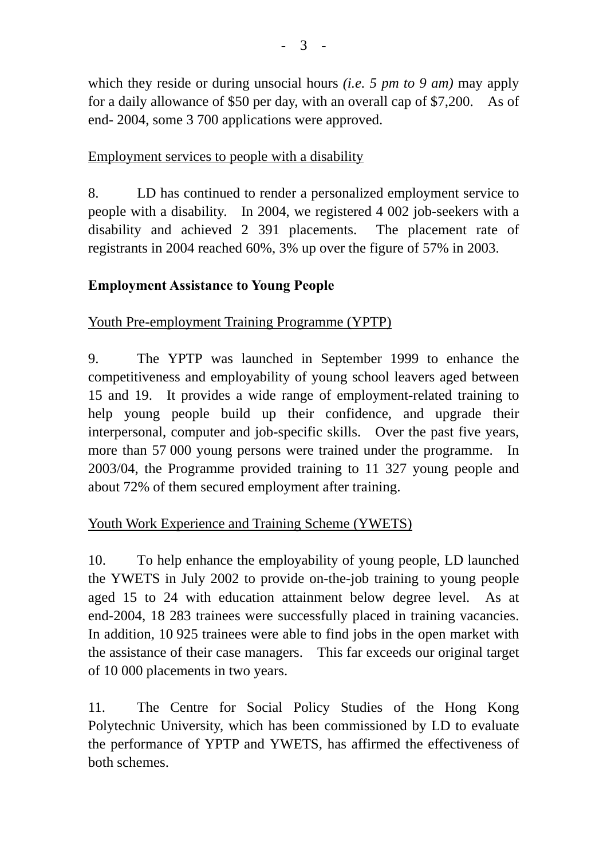which they reside or during unsocial hours *(i.e. 5 pm to 9 am)* may apply for a daily allowance of \$50 per day, with an overall cap of \$7,200. As of end- 2004, some 3 700 applications were approved.

### Employment services to people with a disability

8. LD has continued to render a personalized employment service to people with a disability. In 2004, we registered 4 002 job-seekers with a disability and achieved 2 391 placements. The placement rate of registrants in 2004 reached 60%, 3% up over the figure of 57% in 2003.

#### **Employment Assistance to Young People**

Youth Pre-employment Training Programme (YPTP)

9. The YPTP was launched in September 1999 to enhance the competitiveness and employability of young school leavers aged between 15 and 19. It provides a wide range of employment-related training to help young people build up their confidence, and upgrade their interpersonal, computer and job-specific skills. Over the past five years, more than 57 000 young persons were trained under the programme. In 2003/04, the Programme provided training to 11 327 young people and about 72% of them secured employment after training.

# Youth Work Experience and Training Scheme (YWETS)

10. To help enhance the employability of young people, LD launched the YWETS in July 2002 to provide on-the-job training to young people aged 15 to 24 with education attainment below degree level. As at end-2004, 18 283 trainees were successfully placed in training vacancies. In addition, 10 925 trainees were able to find jobs in the open market with the assistance of their case managers. This far exceeds our original target of 10 000 placements in two years.

11. The Centre for Social Policy Studies of the Hong Kong Polytechnic University, which has been commissioned by LD to evaluate the performance of YPTP and YWETS, has affirmed the effectiveness of both schemes.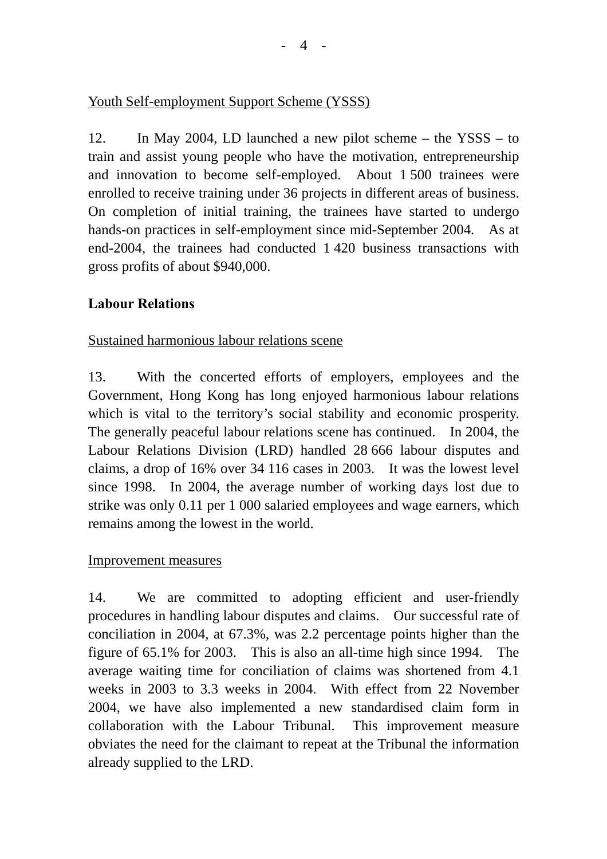# Youth Self-employment Support Scheme (YSSS)

12. In May 2004, LD launched a new pilot scheme – the YSSS – to train and assist young people who have the motivation, entrepreneurship and innovation to become self-employed. About 1 500 trainees were enrolled to receive training under 36 projects in different areas of business. On completion of initial training, the trainees have started to undergo hands-on practices in self-employment since mid-September 2004. As at end-2004, the trainees had conducted 1 420 business transactions with gross profits of about \$940,000.

# **Labour Relations**

#### Sustained harmonious labour relations scene

13. With the concerted efforts of employers, employees and the Government, Hong Kong has long enjoyed harmonious labour relations which is vital to the territory's social stability and economic prosperity. The generally peaceful labour relations scene has continued. In 2004, the Labour Relations Division (LRD) handled 28 666 labour disputes and claims, a drop of 16% over 34 116 cases in 2003. It was the lowest level since 1998. In 2004, the average number of working days lost due to strike was only 0.11 per 1 000 salaried employees and wage earners, which remains among the lowest in the world.

#### Improvement measures

14. We are committed to adopting efficient and user-friendly procedures in handling labour disputes and claims. Our successful rate of conciliation in 2004, at 67.3%, was 2.2 percentage points higher than the figure of 65.1% for 2003. This is also an all-time high since 1994. The average waiting time for conciliation of claims was shortened from 4.1 weeks in 2003 to 3.3 weeks in 2004. With effect from 22 November 2004, we have also implemented a new standardised claim form in collaboration with the Labour Tribunal. This improvement measure obviates the need for the claimant to repeat at the Tribunal the information already supplied to the LRD.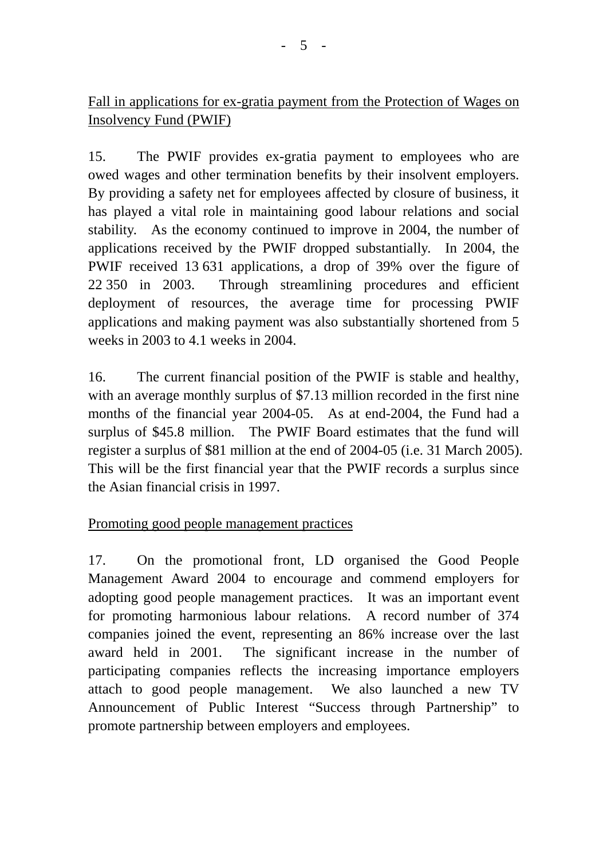# Fall in applications for ex-gratia payment from the Protection of Wages on Insolvency Fund (PWIF)

15. The PWIF provides ex-gratia payment to employees who are owed wages and other termination benefits by their insolvent employers. By providing a safety net for employees affected by closure of business, it has played a vital role in maintaining good labour relations and social stability. As the economy continued to improve in 2004, the number of applications received by the PWIF dropped substantially. In 2004, the PWIF received 13 631 applications, a drop of 39% over the figure of 22 350 in 2003. Through streamlining procedures and efficient deployment of resources, the average time for processing PWIF applications and making payment was also substantially shortened from 5 weeks in 2003 to 4.1 weeks in 2004.

16. The current financial position of the PWIF is stable and healthy, with an average monthly surplus of \$7.13 million recorded in the first nine months of the financial year 2004-05. As at end-2004, the Fund had a surplus of \$45.8 million. The PWIF Board estimates that the fund will register a surplus of \$81 million at the end of 2004-05 (i.e. 31 March 2005). This will be the first financial year that the PWIF records a surplus since the Asian financial crisis in 1997.

# Promoting good people management practices

17. On the promotional front, LD organised the Good People Management Award 2004 to encourage and commend employers for adopting good people management practices. It was an important event for promoting harmonious labour relations. A record number of 374 companies joined the event, representing an 86% increase over the last award held in 2001. The significant increase in the number of participating companies reflects the increasing importance employers attach to good people management. We also launched a new TV Announcement of Public Interest "Success through Partnership" to promote partnership between employers and employees.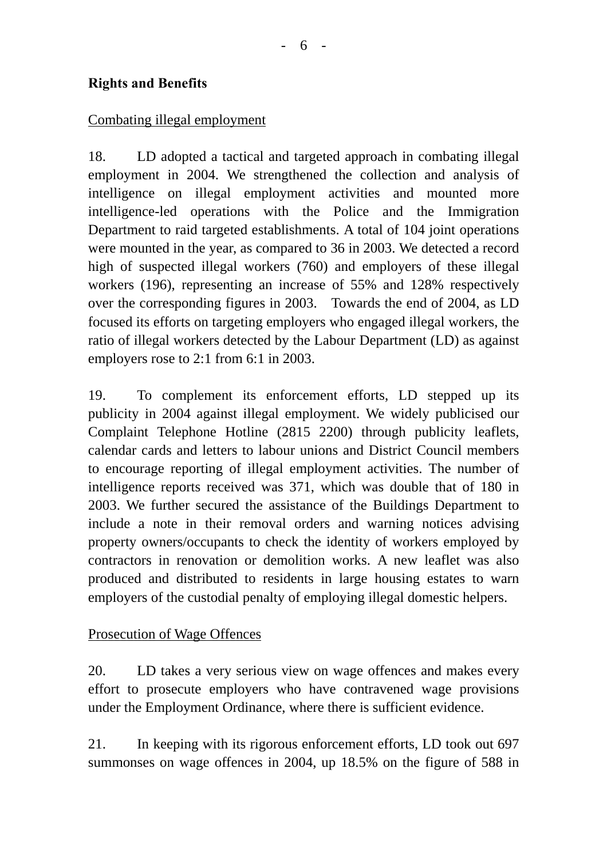### **Rights and Benefits**

#### Combating illegal employment

18. LD adopted a tactical and targeted approach in combating illegal employment in 2004. We strengthened the collection and analysis of intelligence on illegal employment activities and mounted more intelligence-led operations with the Police and the Immigration Department to raid targeted establishments. A total of 104 joint operations were mounted in the year, as compared to 36 in 2003. We detected a record high of suspected illegal workers (760) and employers of these illegal workers (196), representing an increase of 55% and 128% respectively over the corresponding figures in 2003. Towards the end of 2004, as LD focused its efforts on targeting employers who engaged illegal workers, the ratio of illegal workers detected by the Labour Department (LD) as against employers rose to 2:1 from 6:1 in 2003.

19. To complement its enforcement efforts, LD stepped up its publicity in 2004 against illegal employment. We widely publicised our Complaint Telephone Hotline (2815 2200) through publicity leaflets, calendar cards and letters to labour unions and District Council members to encourage reporting of illegal employment activities. The number of intelligence reports received was 371, which was double that of 180 in 2003. We further secured the assistance of the Buildings Department to include a note in their removal orders and warning notices advising property owners/occupants to check the identity of workers employed by contractors in renovation or demolition works. A new leaflet was also produced and distributed to residents in large housing estates to warn employers of the custodial penalty of employing illegal domestic helpers.

#### Prosecution of Wage Offences

20. LD takes a very serious view on wage offences and makes every effort to prosecute employers who have contravened wage provisions under the Employment Ordinance, where there is sufficient evidence.

21. In keeping with its rigorous enforcement efforts, LD took out 697 summonses on wage offences in 2004, up 18.5% on the figure of 588 in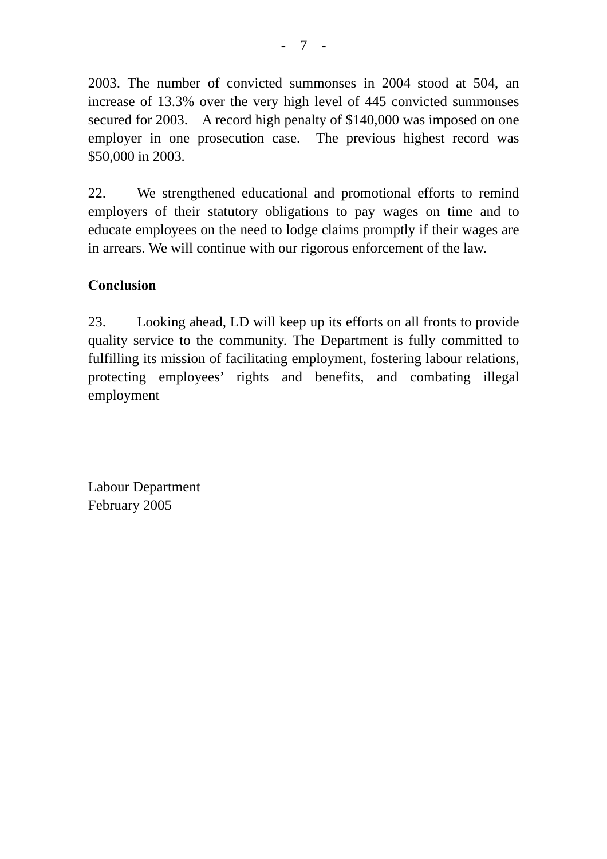2003. The number of convicted summonses in 2004 stood at 504, an increase of 13.3% over the very high level of 445 convicted summonses secured for 2003. A record high penalty of \$140,000 was imposed on one employer in one prosecution case. The previous highest record was \$50,000 in 2003.

22. We strengthened educational and promotional efforts to remind employers of their statutory obligations to pay wages on time and to educate employees on the need to lodge claims promptly if their wages are in arrears. We will continue with our rigorous enforcement of the law.

# **Conclusion**

23. Looking ahead, LD will keep up its efforts on all fronts to provide quality service to the community. The Department is fully committed to fulfilling its mission of facilitating employment, fostering labour relations, protecting employees' rights and benefits, and combating illegal employment

Labour Department February 2005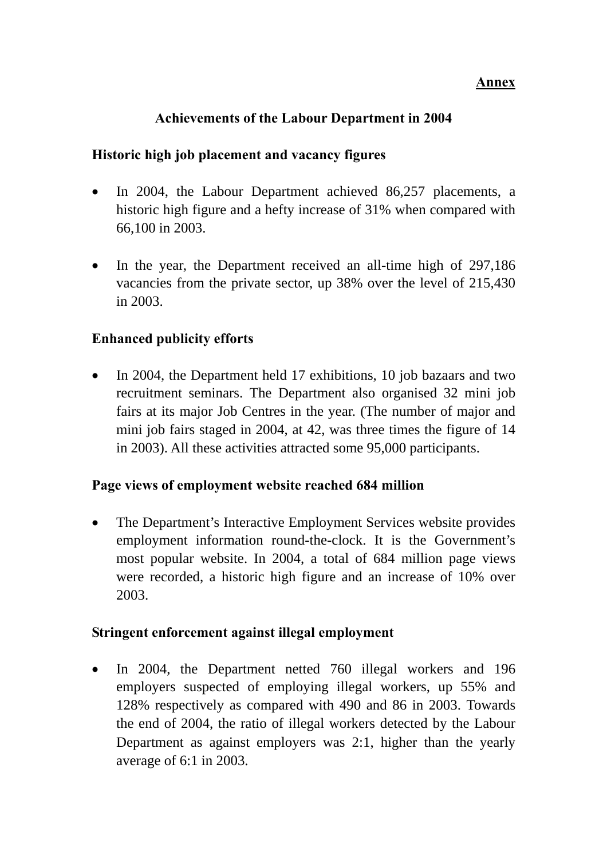#### **Annex**

### **Achievements of the Labour Department in 2004**

#### **Historic high job placement and vacancy figures**

- In 2004, the Labour Department achieved 86,257 placements, a historic high figure and a hefty increase of 31% when compared with 66,100 in 2003.
- In the year, the Department received an all-time high of 297,186 vacancies from the private sector, up 38% over the level of 215,430 in 2003.

#### **Enhanced publicity efforts**

• In 2004, the Department held 17 exhibitions, 10 job bazaars and two recruitment seminars. The Department also organised 32 mini job fairs at its major Job Centres in the year. (The number of major and mini job fairs staged in 2004, at 42, was three times the figure of 14 in 2003). All these activities attracted some 95,000 participants.

#### **Page views of employment website reached 684 million**

• The Department's Interactive Employment Services website provides employment information round-the-clock. It is the Government's most popular website. In 2004, a total of 684 million page views were recorded, a historic high figure and an increase of 10% over 2003.

#### **Stringent enforcement against illegal employment**

• In 2004, the Department netted 760 illegal workers and 196 employers suspected of employing illegal workers, up 55% and 128% respectively as compared with 490 and 86 in 2003. Towards the end of 2004, the ratio of illegal workers detected by the Labour Department as against employers was 2:1, higher than the yearly average of 6:1 in 2003.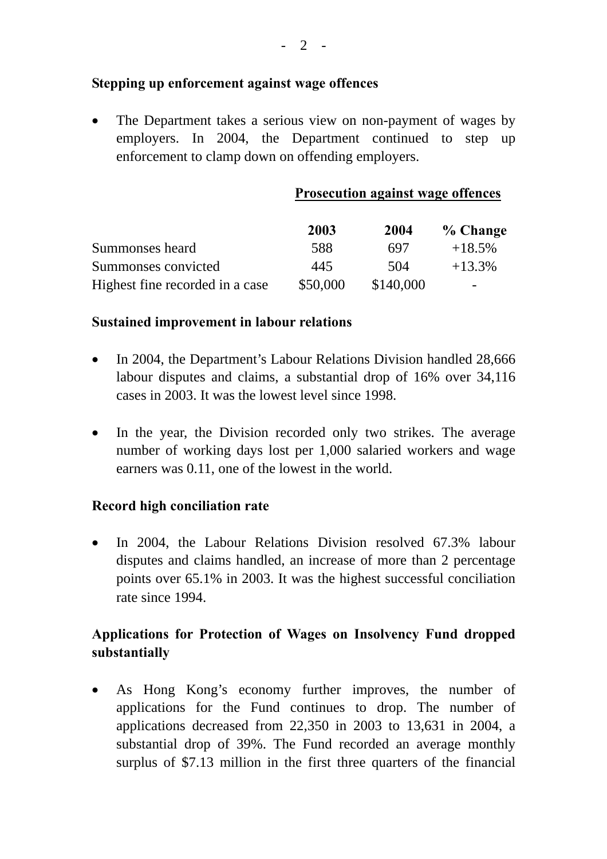#### **Stepping up enforcement against wage offences**

• The Department takes a serious view on non-payment of wages by employers. In 2004, the Department continued to step up enforcement to clamp down on offending employers.

**Prosecution against wage offences**

|                                 | 2003     | 2004      | % Change |
|---------------------------------|----------|-----------|----------|
| Summonses heard                 | 588      | 697       | $+18.5%$ |
| Summonses convicted             | 445      | 504       | $+13.3%$ |
| Highest fine recorded in a case | \$50,000 | \$140,000 | -        |

#### **Sustained improvement in labour relations**

- In 2004, the Department's Labour Relations Division handled 28,666 labour disputes and claims, a substantial drop of 16% over 34,116 cases in 2003. It was the lowest level since 1998.
- In the year, the Division recorded only two strikes. The average number of working days lost per 1,000 salaried workers and wage earners was 0.11, one of the lowest in the world.

#### **Record high conciliation rate**

• In 2004, the Labour Relations Division resolved 67.3% labour disputes and claims handled, an increase of more than 2 percentage points over 65.1% in 2003. It was the highest successful conciliation rate since 1994.

# **Applications for Protection of Wages on Insolvency Fund dropped substantially**

• As Hong Kong's economy further improves, the number of applications for the Fund continues to drop. The number of applications decreased from 22,350 in 2003 to 13,631 in 2004, a substantial drop of 39%. The Fund recorded an average monthly surplus of \$7.13 million in the first three quarters of the financial